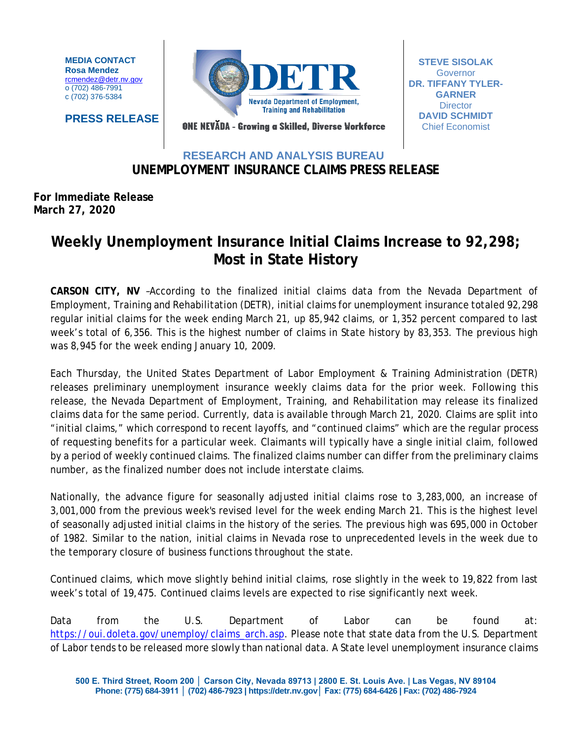**MEDIA CONTACT Rosa Mendez** [rcmendez@detr.nv.gov](mailto:rcmendez@detr.nv.gov) o (702) 486-7991 c (702) 376-5384

**PRESS RELEASE**



**STEVE SISOLAK Governor DR. TIFFANY TYLER-GARNER Director DAVID SCHMIDT** Chief Economist

ONE NEVĂDA - Growing a Skilled, Diverse Workforce

## **RESEARCH AND ANALYSIS BUREAU UNEMPLOYMENT INSURANCE CLAIMS PRESS RELEASE**

## **For Immediate Release March 27, 2020**

## **Weekly Unemployment Insurance Initial Claims Increase to 92,298; Most in State History**

**CARSON CITY, NV** –According to the finalized initial claims data from the Nevada Department of Employment, Training and Rehabilitation (DETR), initial claims for unemployment insurance totaled 92,298 regular initial claims for the week ending March 21, up 85,942 claims, or 1,352 percent compared to last week's total of 6,356. This is the highest number of claims in State history by 83,353. The previous high was 8,945 for the week ending January 10, 2009.

Each Thursday, the United States Department of Labor Employment & Training Administration (DETR) releases preliminary unemployment insurance weekly claims data for the prior week. Following this release, the Nevada Department of Employment, Training, and Rehabilitation may release its finalized claims data for the same period. Currently, data is available through March 21, 2020. Claims are split into "initial claims," which correspond to recent layoffs, and "continued claims" which are the regular process of requesting benefits for a particular week. Claimants will typically have a single initial claim, followed by a period of weekly continued claims. The finalized claims number can differ from the preliminary claims number, as the finalized number does not include interstate claims.

Nationally, the advance figure for seasonally adjusted initial claims rose to 3,283,000, an increase of 3,001,000 from the previous week's revised level for the week ending March 21. This is the highest level of seasonally adjusted initial claims in the history of the series. The previous high was 695,000 in October of 1982. Similar to the nation, initial claims in Nevada rose to unprecedented levels in the week due to the temporary closure of business functions throughout the state.

Continued claims, which move slightly behind initial claims, rose slightly in the week to 19,822 from last week's total of 19,475. Continued claims levels are expected to rise significantly next week.

Data from the U.S. Department of Labor can be found at: [https://oui.doleta.gov/unemploy/claims\\_arch.asp.](https://oui.doleta.gov/unemploy/claims_arch.asp) Please note that state data from the U.S. Department of Labor tends to be released more slowly than national data. A State level unemployment insurance claims